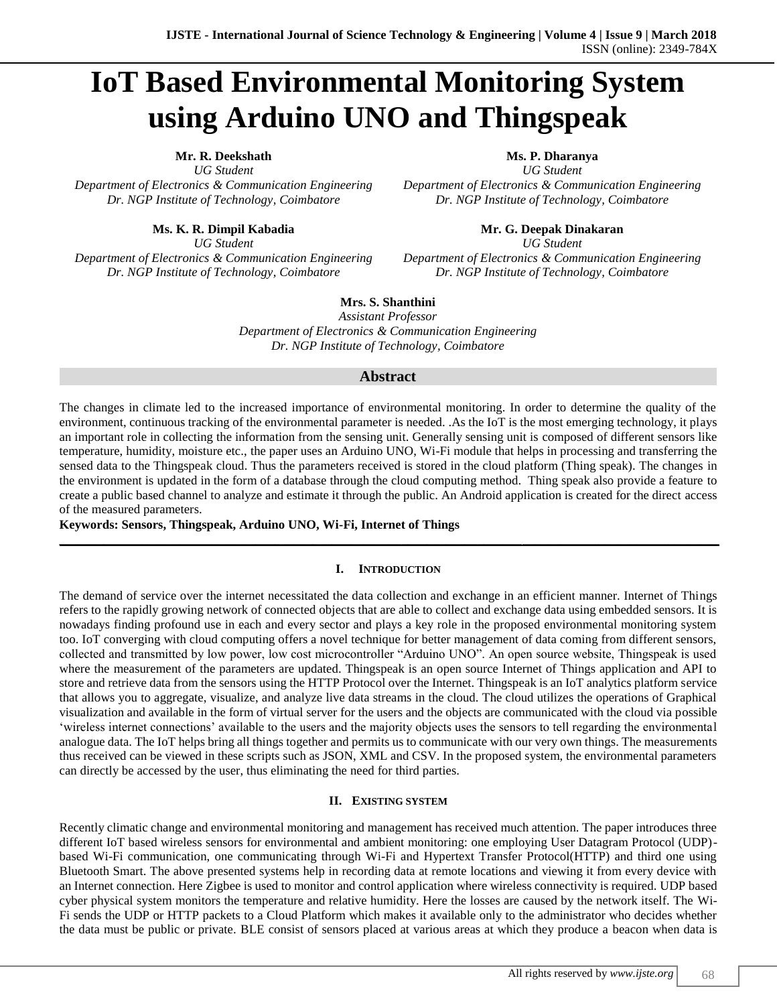# **IoT Based Environmental Monitoring System using Arduino UNO and Thingspeak**

*UG Student UG Student Department of Electronics & Communication Engineering Department of Electronics & Communication Engineering Dr. NGP Institute of Technology, Coimbatore Dr. NGP Institute of Technology, Coimbatore*

*Department of Electronics & Communication Engineering Department of Electronics & Communication Engineering Dr. NGP Institute of Technology, Coimbatore Dr. NGP Institute of Technology, Coimbatore*

**Mr. R. Deekshath Ms. P. Dharanya**

**Ms. K. R. Dimpil Kabadia Mr. G. Deepak Dinakaran** *UG Student UG Student*

**Mrs. S. Shanthini**

*Assistant Professor Department of Electronics & Communication Engineering Dr. NGP Institute of Technology, Coimbatore*

## **Abstract**

The changes in climate led to the increased importance of environmental monitoring. In order to determine the quality of the environment, continuous tracking of the environmental parameter is needed. .As the IoT is the most emerging technology, it plays an important role in collecting the information from the sensing unit. Generally sensing unit is composed of different sensors like temperature, humidity, moisture etc., the paper uses an Arduino UNO, Wi-Fi module that helps in processing and transferring the sensed data to the Thingspeak cloud. Thus the parameters received is stored in the cloud platform (Thing speak). The changes in the environment is updated in the form of a database through the cloud computing method. Thing speak also provide a feature to create a public based channel to analyze and estimate it through the public. An Android application is created for the direct access of the measured parameters.

**Keywords: Sensors, Thingspeak, Arduino UNO, Wi-Fi, Internet of Things**

## **I. INTRODUCTION**

**\_\_\_\_\_\_\_\_\_\_\_\_\_\_\_\_\_\_\_\_\_\_\_\_\_\_\_\_\_\_\_\_\_\_\_\_\_\_\_\_\_\_\_\_\_\_\_\_\_\_\_\_\_\_\_\_\_\_\_\_\_\_\_\_\_\_\_\_\_\_\_\_\_\_\_\_\_\_\_\_\_\_\_\_\_\_\_\_\_\_\_\_\_\_\_\_\_\_\_\_\_\_\_\_**

The demand of service over the internet necessitated the data collection and exchange in an efficient manner. Internet of Things refers to the rapidly growing network of connected objects that are able to collect and exchange data using embedded sensors. It is nowadays finding profound use in each and every sector and plays a key role in the proposed environmental monitoring system too. IoT converging with cloud computing offers a novel technique for better management of data coming from different sensors, collected and transmitted by low power, low cost microcontroller "Arduino UNO". An open source website, Thingspeak is used where the measurement of the parameters are updated. Thingspeak is an open source Internet of Things application and API to store and retrieve data from the sensors using the HTTP Protocol over the Internet. Thingspeak is an IoT analytics platform service that allows you to aggregate, visualize, and analyze live data streams in the cloud. The cloud utilizes the operations of Graphical visualization and available in the form of virtual server for the users and the objects are communicated with the cloud via possible 'wireless internet connections' available to the users and the majority objects uses the sensors to tell regarding the environmental analogue data. The IoT helps bring all things together and permits us to communicate with our very own things. The measurements thus received can be viewed in these scripts such as JSON, XML and CSV. In the proposed system, the environmental parameters can directly be accessed by the user, thus eliminating the need for third parties.

## **II. EXISTING SYSTEM**

Recently climatic change and environmental monitoring and management has received much attention. The paper introduces three different IoT based wireless sensors for environmental and ambient monitoring: one employing User Datagram Protocol (UDP) based Wi-Fi communication, one communicating through Wi-Fi and Hypertext Transfer Protocol(HTTP) and third one using Bluetooth Smart. The above presented systems help in recording data at remote locations and viewing it from every device with an Internet connection. Here Zigbee is used to monitor and control application where wireless connectivity is required. UDP based cyber physical system monitors the temperature and relative humidity. Here the losses are caused by the network itself. The Wi-Fi sends the UDP or HTTP packets to a Cloud Platform which makes it available only to the administrator who decides whether the data must be public or private. BLE consist of sensors placed at various areas at which they produce a beacon when data is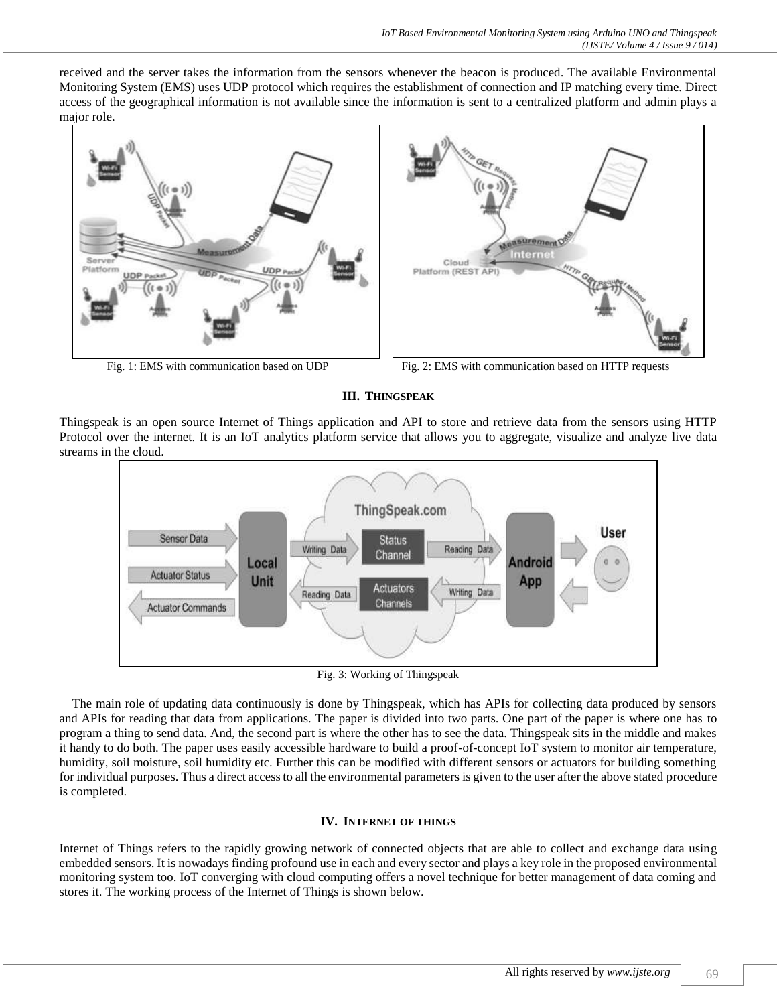received and the server takes the information from the sensors whenever the beacon is produced. The available Environmental Monitoring System (EMS) uses UDP protocol which requires the establishment of connection and IP matching every time. Direct access of the geographical information is not available since the information is sent to a centralized platform and admin plays a major role.





Fig. 1: EMS with communication based on UDP Fig. 2: EMS with communication based on HTTP requests

**III. THINGSPEAK**

Thingspeak is an open source Internet of Things application and API to store and retrieve data from the sensors using HTTP Protocol over the internet. It is an IoT analytics platform service that allows you to aggregate, visualize and analyze live data streams in the cloud.



Fig. 3: Working of Thingspeak

The main role of updating data continuously is done by Thingspeak, which has APIs for collecting data produced by sensors and APIs for reading that data from applications. The paper is divided into two parts. One part of the paper is where one has to program a thing to send data. And, the second part is where the other has to see the data. Thingspeak sits in the middle and makes it handy to do both. The paper uses easily accessible hardware to build a proof-of-concept IoT system to monitor air temperature, humidity, soil moisture, soil humidity etc. Further this can be modified with different sensors or actuators for building something for individual purposes. Thus a direct access to all the environmental parameters is given to the user after the above stated procedure is completed.

## **IV. INTERNET OF THINGS**

Internet of Things refers to the rapidly growing network of connected objects that are able to collect and exchange data using embedded sensors. It is nowadays finding profound use in each and every sector and plays a key role in the proposed environmental monitoring system too. IoT converging with cloud computing offers a novel technique for better management of data coming and stores it. The working process of the Internet of Things is shown below.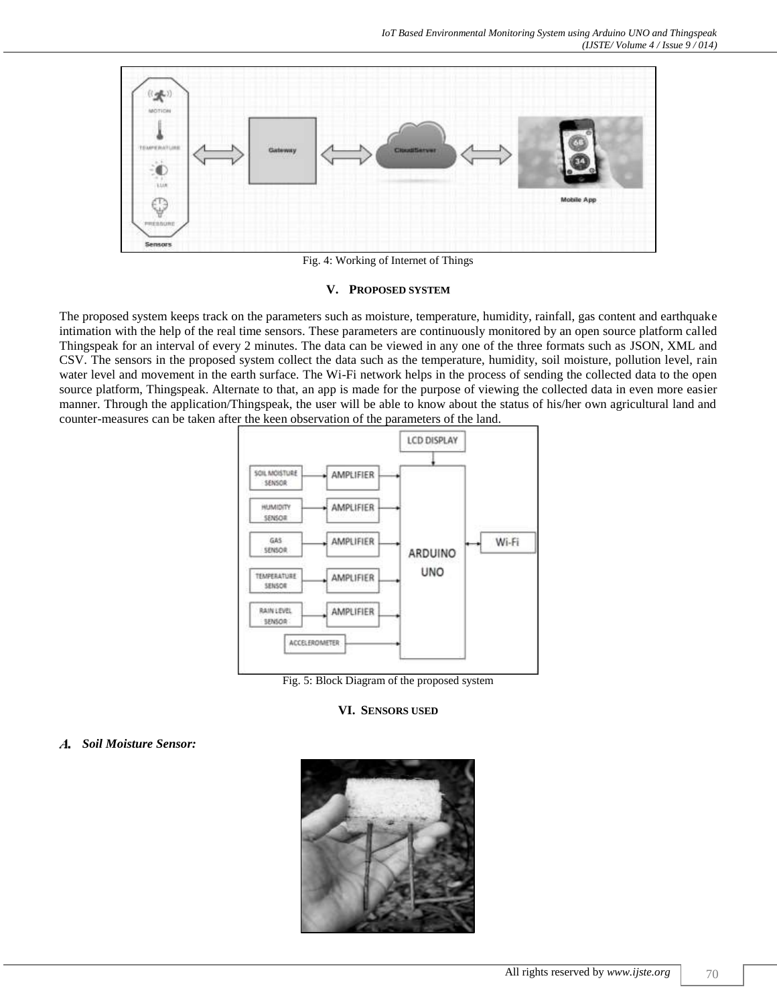

Fig. 4: Working of Internet of Things

#### **V. PROPOSED SYSTEM**

The proposed system keeps track on the parameters such as moisture, temperature, humidity, rainfall, gas content and earthquake intimation with the help of the real time sensors. These parameters are continuously monitored by an open source platform called Thingspeak for an interval of every 2 minutes. The data can be viewed in any one of the three formats such as JSON, XML and CSV. The sensors in the proposed system collect the data such as the temperature, humidity, soil moisture, pollution level, rain water level and movement in the earth surface. The Wi-Fi network helps in the process of sending the collected data to the open source platform, Thingspeak. Alternate to that, an app is made for the purpose of viewing the collected data in even more easier manner. Through the application/Thingspeak, the user will be able to know about the status of his/her own agricultural land and counter-measures can be taken after the keen observation of the parameters of the land.



Fig. 5: Block Diagram of the proposed system

**VI. SENSORS USED**

#### *Soil Moisture Sensor:*

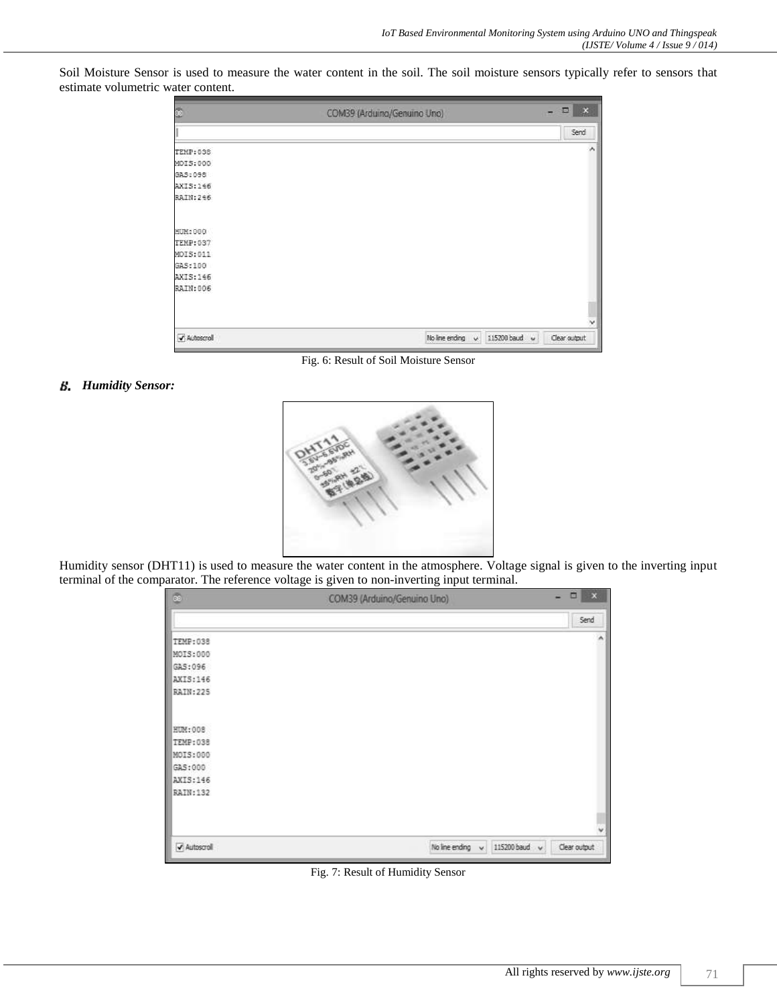Soil Moisture Sensor is used to measure the water content in the soil. The soil moisture sensors typically refer to sensors that estimate volumetric water content.

| 68               | COM39 (Arduino/Genuino Uno)                   | $\Box$ x                    |
|------------------|-----------------------------------------------|-----------------------------|
|                  |                                               | Send                        |
| <b>TEMP: 038</b> |                                               | ۸                           |
| MOIS:000         |                                               |                             |
| GAS: 098         |                                               |                             |
| AXIS:146         |                                               |                             |
| RAIN:246         |                                               |                             |
| HUM: 000         |                                               |                             |
| TEMP: 037        |                                               |                             |
| MOIS: 011        |                                               |                             |
| GAS:100          |                                               |                             |
| AXIS:146         |                                               |                             |
| RAIN:006         |                                               |                             |
|                  |                                               | $\checkmark$                |
| Autoscroll       | No line ending<br>$\mathbf{v}$<br>115200 baud | $\check{~}$<br>Clear output |

Fig. 6: Result of Soil Moisture Sensor

## *Humidity Sensor:*



Humidity sensor (DHT11) is used to measure the water content in the atmosphere. Voltage signal is given to the inverting input terminal of the comparator. The reference voltage is given to non-inverting input terminal.

| œ            | COM39 (Arduino/Genuino Uno)    | $\Box$<br>$\mathbf{x}$<br>$\sim$ |
|--------------|--------------------------------|----------------------------------|
|              |                                | Send                             |
| TEMP: 038    |                                | ٨                                |
| MOIS: 000    |                                |                                  |
| GAS:096      |                                |                                  |
| AXIS:146     |                                |                                  |
| RAIN: 225    |                                |                                  |
| HUM: 008     |                                |                                  |
| TEMP: 038    |                                |                                  |
| MOIS: 000    |                                |                                  |
| GAS:000      |                                |                                  |
| AXIS:146     |                                |                                  |
| RAIN: 132    |                                |                                  |
|              |                                | w                                |
| V Autoscroll | No line ending<br>$\mathbf{v}$ | 115200 baud v<br>Clear output:   |

Fig. 7: Result of Humidity Sensor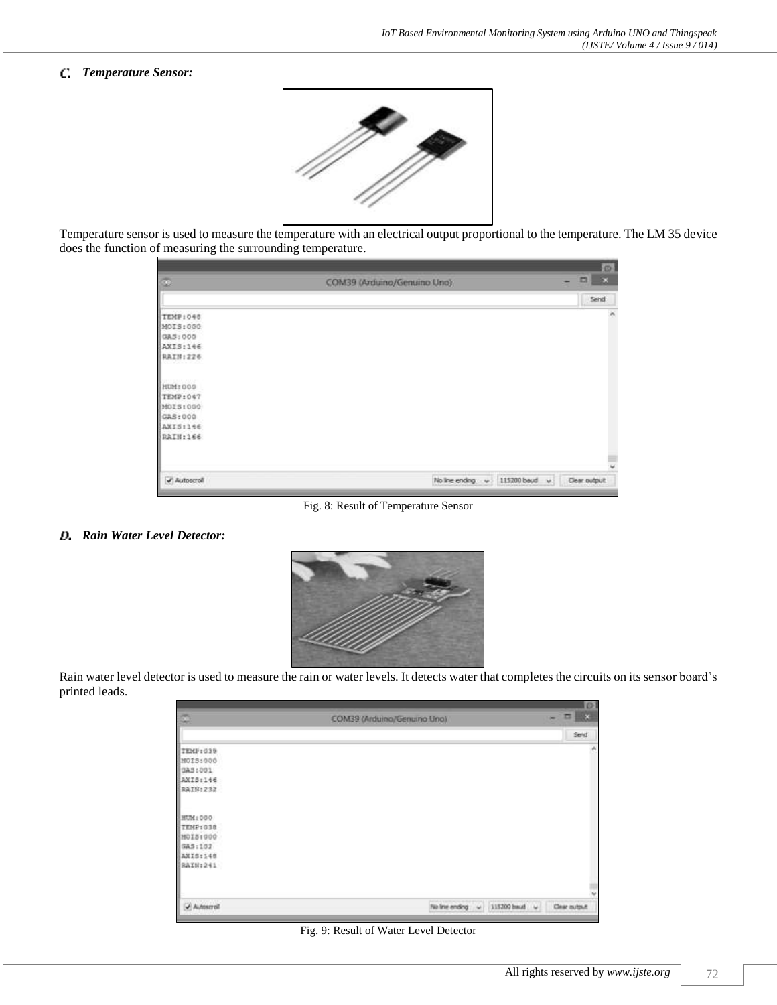## *Temperature Sensor:*



Temperature sensor is used to measure the temperature with an electrical output proportional to the temperature. The LM 35 device does the function of measuring the surrounding temperature.

|                          |                                              | Đ.                                   |
|--------------------------|----------------------------------------------|--------------------------------------|
| $\overline{\mathcal{D}}$ | COM39 (Arduino/Genuino Uno)                  | $\blacksquare$<br>$\propto$<br>-     |
|                          |                                              | Send                                 |
| TEMP:048                 |                                              | ×                                    |
| MOIS:000                 |                                              |                                      |
| GAS: 000                 |                                              |                                      |
| AXIS:146                 |                                              |                                      |
| RAIN:226                 |                                              |                                      |
| HUM: 000                 |                                              |                                      |
| TEMP:047                 |                                              |                                      |
| MOIS:000                 |                                              |                                      |
| GAS: 000                 |                                              |                                      |
| AXIS:146                 |                                              |                                      |
| RAIN:166                 |                                              |                                      |
|                          |                                              |                                      |
|                          |                                              |                                      |
| Autoscroll               | No Ine ending<br>$\left  \mathbf{v} \right $ | 115200 boud<br>Clear output:<br>16.1 |

Fig. 8: Result of Temperature Sensor

#### *Rain Water Level Detector:*



Rain water level detector is used to measure the rain or water levels. It detects water that completes the circuits on its sensor board's printed leads.

| Ø.         | COM39 (Arduino/Genuino Uno) | -             | 102<br>三版     |
|------------|-----------------------------|---------------|---------------|
|            |                             |               | Send          |
| TEMP: 039  |                             |               | n             |
| MOIS:000   |                             |               |               |
| GAS:001    |                             |               |               |
| AXIS:146   |                             |               |               |
| RAIN:232   |                             |               |               |
| HUM: 000   |                             |               |               |
| TEMP:038   |                             |               |               |
| MOI5:000   |                             |               |               |
| GAS:102    |                             |               |               |
| AXIS:140   |                             |               |               |
| RAIN:241   |                             |               |               |
|            |                             |               |               |
| Autoscroll | No line ending<br>- 4       | 115200 back v | Clear output: |

Fig. 9: Result of Water Level Detector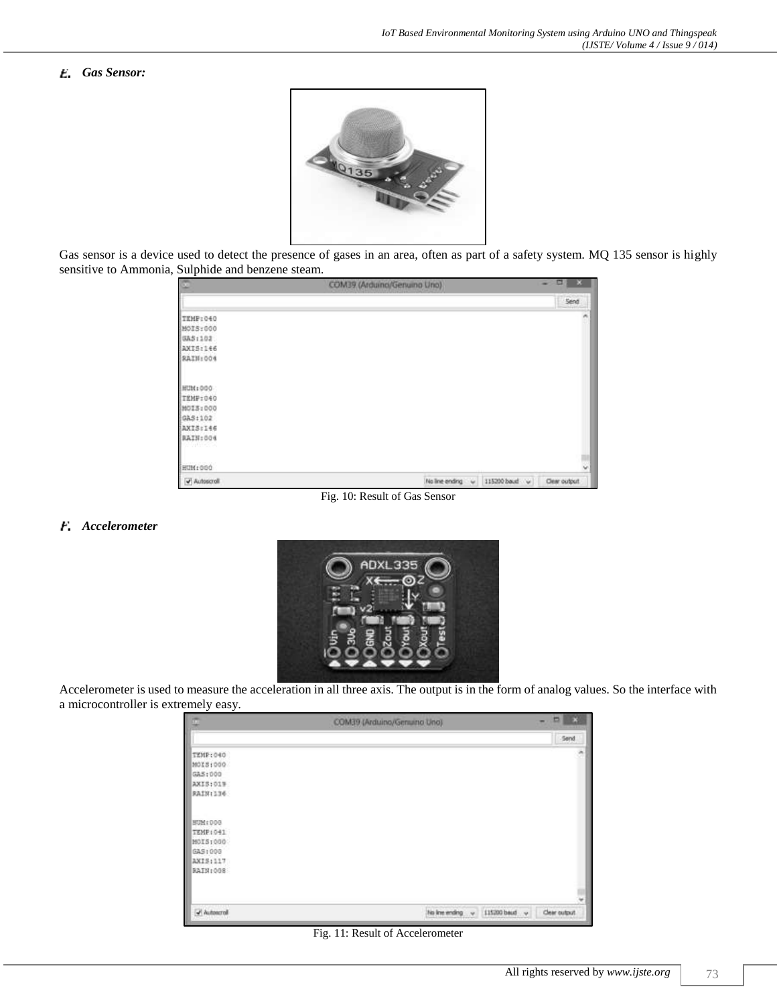## *Gas Sensor:*



Gas sensor is a device used to detect the presence of gases in an area, often as part of a safety system. MQ 135 sensor is highly sensitive to Ammonia, Sulphide and benzene steam.

|     |                                               | 置<br>×       |
|-----|-----------------------------------------------|--------------|
|     |                                               | Send         |
|     |                                               |              |
|     |                                               |              |
|     |                                               |              |
|     |                                               |              |
|     |                                               |              |
|     |                                               |              |
|     |                                               |              |
|     |                                               |              |
|     |                                               |              |
|     |                                               |              |
|     |                                               |              |
|     |                                               |              |
| - 6 | 115200 boud<br>$\sim$                         | Clear output |
|     | COM39 (Arduino/Genuino Uno)<br>No line ending |              |

Fig. 10: Result of Gas Sensor

#### *Accelerometer*



Accelerometer is used to measure the acceleration in all three axis. The output is in the form of analog values. So the interface with a microcontroller is extremely easy.

| $\overline{\mathbb{Z}}$ | COM39 (Arduino/Germano Uno) | ×<br>m.                        |
|-------------------------|-----------------------------|--------------------------------|
|                         |                             | Send.                          |
| TEMP:040                |                             | 沸                              |
| MOIS:000                |                             |                                |
| GAS: 000                |                             |                                |
| AXIS; 019               |                             |                                |
| RAIN:136                |                             |                                |
| BUM:000                 |                             |                                |
| TEMP (041)              |                             |                                |
| MOIS:000                |                             |                                |
| GAS : 000               |                             |                                |
| AXIS: 117               |                             |                                |
| BAIN:008                |                             |                                |
|                         |                             |                                |
| - Autoscroll            | his line ending<br>$\sim$   | 115200 boud v<br>Clear output. |

Fig. 11: Result of Accelerometer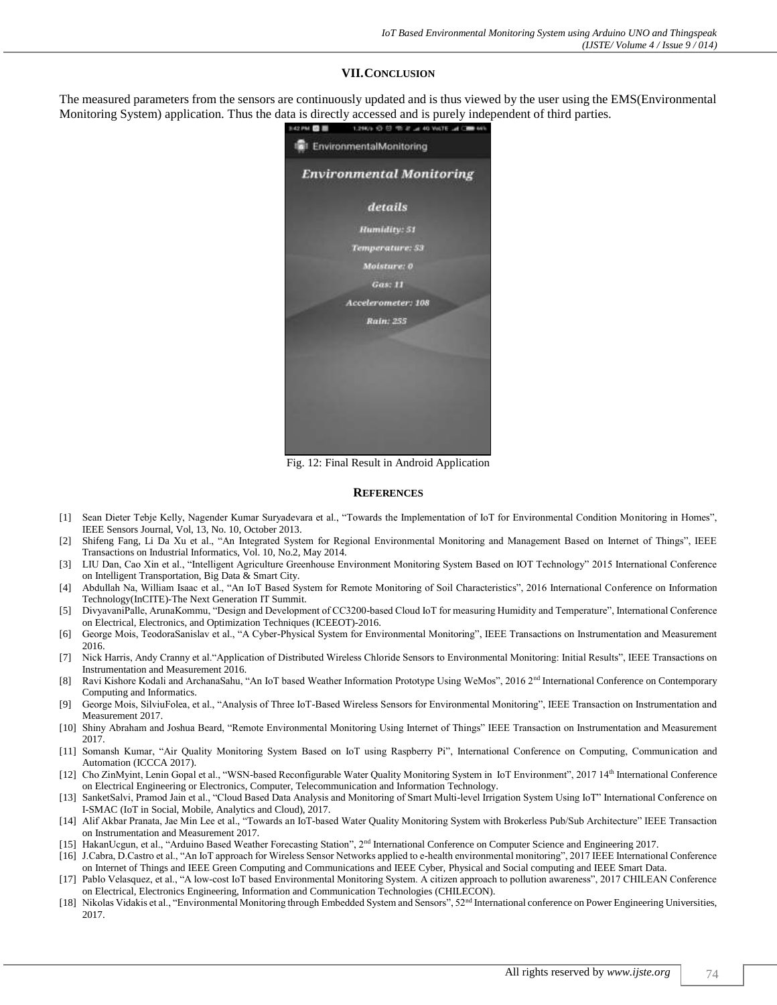#### **VII.CONCLUSION**

The measured parameters from the sensors are continuously updated and is thus viewed by the user using the EMS(Environmental Monitoring System) application. Thus the data is directly accessed and is purely independent of third parties.



Fig. 12: Final Result in Android Application

#### **REFERENCES**

- [1] Sean Dieter Tebje Kelly, Nagender Kumar Suryadevara et al., "Towards the Implementation of IoT for Environmental Condition Monitoring in Homes", IEEE Sensors Journal, Vol, 13, No. 10, October 2013.
- [2] Shifeng Fang, Li Da Xu et al., "An Integrated System for Regional Environmental Monitoring and Management Based on Internet of Things", IEEE Transactions on Industrial Informatics, Vol. 10, No.2, May 2014.
- [3] LIU Dan, Cao Xin et al., "Intelligent Agriculture Greenhouse Environment Monitoring System Based on IOT Technology" 2015 International Conference on Intelligent Transportation, Big Data & Smart City.
- [4] Abdullah Na, William Isaac et al., "An IoT Based System for Remote Monitoring of Soil Characteristics", 2016 International Conference on Information Technology(InCITE)-The Next Generation IT Summit.
- [5] DivyavaniPalle, ArunaKommu, "Design and Development of CC3200-based Cloud IoT for measuring Humidity and Temperature", International Conference on Electrical, Electronics, and Optimization Techniques (ICEEOT)-2016.
- [6] George Mois, TeodoraSanislav et al., "A Cyber-Physical System for Environmental Monitoring", IEEE Transactions on Instrumentation and Measurement 2016.
- [7] Nick Harris, Andy Cranny et al."Application of Distributed Wireless Chloride Sensors to Environmental Monitoring: Initial Results", IEEE Transactions on Instrumentation and Measurement 2016.
- [8] Ravi Kishore Kodali and ArchanaSahu, "An IoT based Weather Information Prototype Using WeMos", 2016 2<sup>nd</sup> International Conference on Contemporary Computing and Informatics.
- [9] George Mois, SilviuFolea, et al., "Analysis of Three IoT-Based Wireless Sensors for Environmental Monitoring", IEEE Transaction on Instrumentation and Measurement 2017.
- [10] Shiny Abraham and Joshua Beard, "Remote Environmental Monitoring Using Internet of Things" IEEE Transaction on Instrumentation and Measurement 2017.
- [11] Somansh Kumar, "Air Quality Monitoring System Based on IoT using Raspberry Pi", International Conference on Computing, Communication and Automation (ICCCA 2017).
- [12] Cho ZinMyint, Lenin Gopal et al., "WSN-based Reconfigurable Water Quality Monitoring System in IoT Environment", 2017 14<sup>th</sup> International Conference on Electrical Engineering or Electronics, Computer, Telecommunication and Information Technology.
- [13] SanketSalvi, Pramod Jain et al., "Cloud Based Data Analysis and Monitoring of Smart Multi-level Irrigation System Using IoT" International Conference on I-SMAC (IoT in Social, Mobile, Analytics and Cloud), 2017.
- [14] Alif Akbar Pranata, Jae Min Lee et al., "Towards an IoT-based Water Quality Monitoring System with Brokerless Pub/Sub Architecture" IEEE Transaction on Instrumentation and Measurement 2017.
- [15] HakanUcgun, et al., "Arduino Based Weather Forecasting Station", 2<sup>nd</sup> International Conference on Computer Science and Engineering 2017.
- [16] J.Cabra, D.Castro et al., "An IoT approach for Wireless Sensor Networks applied to e-health environmental monitoring", 2017 IEEE International Conference on Internet of Things and IEEE Green Computing and Communications and IEEE Cyber, Physical and Social computing and IEEE Smart Data.
- [17] Pablo Velasquez, et al., "A low-cost IoT based Environmental Monitoring System. A citizen approach to pollution awareness", 2017 CHILEAN Conference on Electrical, Electronics Engineering, Information and Communication Technologies (CHILECON).
- [18] Nikolas Vidakis et al., "Environmental Monitoring through Embedded System and Sensors", 52<sup>nd</sup> International conference on Power Engineering Universities, 2017.